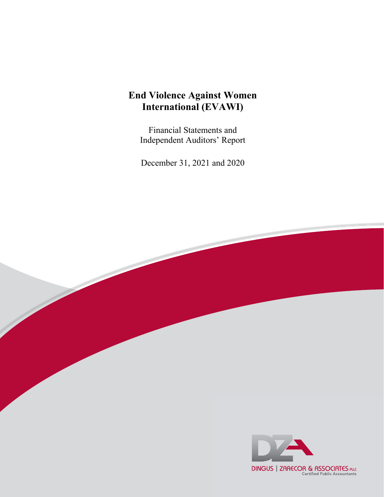# **End Violence Against Womer**<br>International (EVAWI) **International** (EVAWI) **End Violence Against Women**

Financial Statements and Independent Auditors' Report

December 31, 2021 and 2020

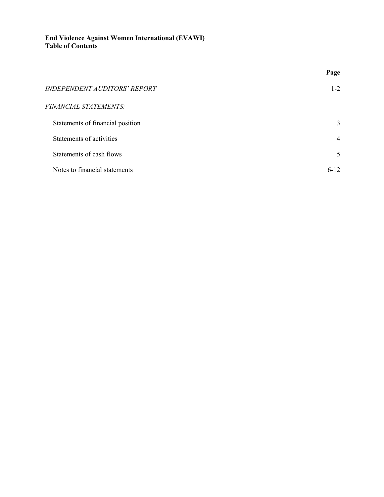|                                  | Page           |
|----------------------------------|----------------|
| INDEPENDENT AUDITORS' REPORT     | $1 - 2$        |
| FINANCIAL STATEMENTS:            |                |
| Statements of financial position | 3              |
| Statements of activities         | $\overline{4}$ |
| Statements of cash flows         | 5              |
| Notes to financial statements    | $6 - 12$       |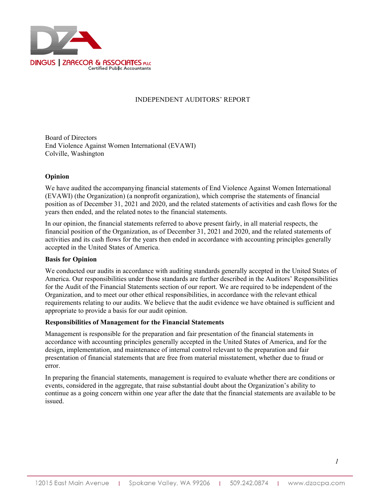

#### INDEPENDENT AUDITORS' REPORT

Board of Directors End Violence Against Women International (EVAWI) Colville, Washington

#### **Opinion**

We have audited the accompanying financial statements of End Violence Against Women International (EVAWI) (the Organization) (a nonprofit organization), which comprise the statements of financial position as of December 31, 2021 and 2020, and the related statements of activities and cash flows for the years then ended, and the related notes to the financial statements.

In our opinion, the financial statements referred to above present fairly, in all material respects, the financial position of the Organization, as of December 31, 2021 and 2020, and the related statements of activities and its cash flows for the years then ended in accordance with accounting principles generally accepted in the United States of America.

#### **Basis for Opinion**

We conducted our audits in accordance with auditing standards generally accepted in the United States of America. Our responsibilities under those standards are further described in the Auditors' Responsibilities for the Audit of the Financial Statements section of our report. We are required to be independent of the Organization, and to meet our other ethical responsibilities, in accordance with the relevant ethical requirements relating to our audits. We believe that the audit evidence we have obtained is sufficient and appropriate to provide a basis for our audit opinion.

#### **Responsibilities of Management for the Financial Statements**

Management is responsible for the preparation and fair presentation of the financial statements in accordance with accounting principles generally accepted in the United States of America, and for the design, implementation, and maintenance of internal control relevant to the preparation and fair presentation of financial statements that are free from material misstatement, whether due to fraud or error.

In preparing the financial statements, management is required to evaluate whether there are conditions or events, considered in the aggregate, that raise substantial doubt about the Organization's ability to continue as a going concern within one year after the date that the financial statements are available to be issued.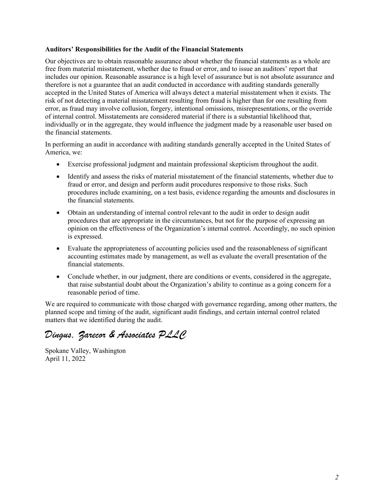#### **Auditors' Responsibilities for the Audit of the Financial Statements**

Our objectives are to obtain reasonable assurance about whether the financial statements as a whole are free from material misstatement, whether due to fraud or error, and to issue an auditors' report that includes our opinion. Reasonable assurance is a high level of assurance but is not absolute assurance and therefore is not a guarantee that an audit conducted in accordance with auditing standards generally accepted in the United States of America will always detect a material misstatement when it exists. The risk of not detecting a material misstatement resulting from fraud is higher than for one resulting from error, as fraud may involve collusion, forgery, intentional omissions, misrepresentations, or the override of internal control. Misstatements are considered material if there is a substantial likelihood that, individually or in the aggregate, they would influence the judgment made by a reasonable user based on the financial statements.

In performing an audit in accordance with auditing standards generally accepted in the United States of America, we:

- Exercise professional judgment and maintain professional skepticism throughout the audit.
- Identify and assess the risks of material misstatement of the financial statements, whether due to fraud or error, and design and perform audit procedures responsive to those risks. Such procedures include examining, on a test basis, evidence regarding the amounts and disclosures in the financial statements.
- Obtain an understanding of internal control relevant to the audit in order to design audit procedures that are appropriate in the circumstances, but not for the purpose of expressing an opinion on the effectiveness of the Organization's internal control. Accordingly, no such opinion is expressed.
- Evaluate the appropriateness of accounting policies used and the reasonableness of significant accounting estimates made by management, as well as evaluate the overall presentation of the financial statements.
- Conclude whether, in our judgment, there are conditions or events, considered in the aggregate, that raise substantial doubt about the Organization's ability to continue as a going concern for a reasonable period of time.

We are required to communicate with those charged with governance regarding, among other matters, the planned scope and timing of the audit, significant audit findings, and certain internal control related matters that we identified during the audit.

*Dingus, Zarecor & Associates PLLC*

Spokane Valley, Washington April 11, 2022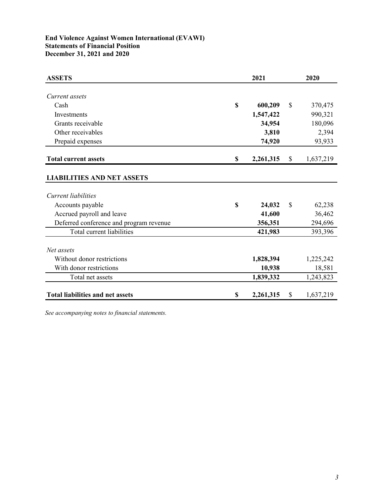## **End Violence Against Women International (EVAWI) Statements of Financial Position December 31, 2021 and 2020**

| <b>ASSETS</b>                           |             | 2021      |              | 2020      |
|-----------------------------------------|-------------|-----------|--------------|-----------|
|                                         |             |           |              |           |
| Current assets                          |             |           |              |           |
| Cash                                    | $\mathbf S$ | 600,209   | $\mathbb{S}$ | 370,475   |
| Investments                             |             | 1,547,422 |              | 990,321   |
| Grants receivable                       |             | 34,954    |              | 180,096   |
| Other receivables                       |             | 3,810     |              | 2,394     |
| Prepaid expenses                        |             | 74,920    |              | 93,933    |
| <b>Total current assets</b>             | \$          | 2,261,315 | \$           | 1,637,219 |
| <b>LIABILITIES AND NET ASSETS</b>       |             |           |              |           |
| Current liabilities                     |             |           |              |           |
| Accounts payable                        | \$          | 24,032    | $\mathbb{S}$ | 62,238    |
| Accrued payroll and leave               |             | 41,600    |              | 36,462    |
| Deferred conference and program revenue |             | 356,351   |              | 294,696   |
| Total current liabilities               |             | 421,983   |              | 393,396   |
| Net assets                              |             |           |              |           |
| Without donor restrictions              |             | 1,828,394 |              | 1,225,242 |
| With donor restrictions                 |             | 10,938    |              | 18,581    |
| Total net assets                        |             | 1,839,332 |              | 1,243,823 |
| <b>Total liabilities and net assets</b> | \$          | 2,261,315 | \$           | 1,637,219 |

*See accompanying notes to financial statements.*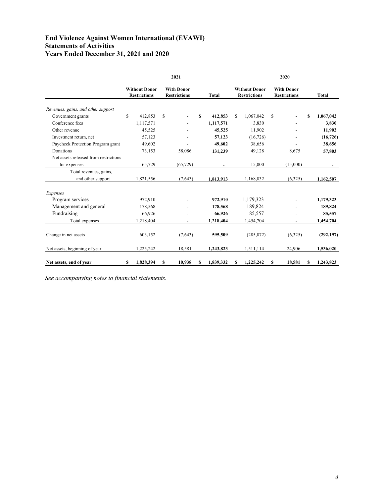## **End Violence Against Women International (EVAWI) Statements of Activities Years Ended December 31, 2021 and 2020**

|                                       | 2021 |                                             |                                          |                          |   |              |     | 2020                                        |               |                                          |   |              |  |
|---------------------------------------|------|---------------------------------------------|------------------------------------------|--------------------------|---|--------------|-----|---------------------------------------------|---------------|------------------------------------------|---|--------------|--|
|                                       |      | <b>Without Donor</b><br><b>Restrictions</b> | <b>With Donor</b><br><b>Restrictions</b> |                          |   | <b>Total</b> |     | <b>Without Donor</b><br><b>Restrictions</b> |               | <b>With Donor</b><br><b>Restrictions</b> |   | <b>Total</b> |  |
| Revenues, gains, and other support    |      |                                             |                                          |                          |   |              |     |                                             |               |                                          |   |              |  |
| Government grants                     | S.   | 412,853                                     | S                                        |                          | S | 412,853      | \$. | 1,067,042                                   | <sup>\$</sup> |                                          | S | 1,067,042    |  |
| Conference fees                       |      | 1,117,571                                   |                                          |                          |   | 1,117,571    |     | 3,830                                       |               |                                          |   | 3,830        |  |
| Other revenue                         |      | 45,525                                      |                                          |                          |   | 45,525       |     | 11,902                                      |               |                                          |   | 11,902       |  |
| Investment return, net                |      | 57,123                                      |                                          |                          |   | 57,123       |     | (16, 726)                                   |               |                                          |   | (16, 726)    |  |
| Paycheck Protection Program grant     |      | 49,602                                      |                                          |                          |   | 49,602       |     | 38,656                                      |               |                                          |   | 38,656       |  |
| Donations                             |      | 73,153                                      |                                          | 58,086                   |   | 131,239      |     | 49,128                                      |               | 8,675                                    |   | 57,803       |  |
| Net assets released from restrictions |      |                                             |                                          |                          |   |              |     |                                             |               |                                          |   |              |  |
| for expenses                          |      | 65,729                                      |                                          | (65, 729)                |   |              |     | 15,000                                      |               | (15,000)                                 |   |              |  |
| Total revenues, gains,                |      |                                             |                                          |                          |   |              |     |                                             |               |                                          |   |              |  |
| and other support                     |      | 1,821,556                                   |                                          | (7,643)                  |   | 1,813,913    |     | 1,168,832                                   |               | (6,325)                                  |   | 1,162,507    |  |
| Expenses                              |      |                                             |                                          |                          |   |              |     |                                             |               |                                          |   |              |  |
| Program services                      |      | 972,910                                     |                                          |                          |   | 972,910      |     | 1,179,323                                   |               |                                          |   | 1,179,323    |  |
| Management and general                |      | 178,568                                     |                                          |                          |   | 178,568      |     | 189,824                                     |               |                                          |   | 189,824      |  |
| Fundraising                           |      | 66,926                                      |                                          | $\overline{\phantom{a}}$ |   | 66,926       |     | 85,557                                      |               |                                          |   | 85,557       |  |
| Total expenses                        |      | 1,218,404                                   |                                          |                          |   | 1,218,404    |     | 1,454,704                                   |               |                                          |   | 1,454,704    |  |
| Change in net assets                  |      | 603,152                                     |                                          | (7,643)                  |   | 595,509      |     | (285, 872)                                  |               | (6,325)                                  |   | (292, 197)   |  |
| Net assets, beginning of year         |      | 1,225,242                                   |                                          | 18,581                   |   | 1,243,823    |     | 1,511,114                                   |               | 24,906                                   |   | 1,536,020    |  |
| Net assets, end of year               | S    | 1,828,394                                   | S                                        | 10,938                   | S | 1,839,332    | S   | 1,225,242                                   | S             | 18,581                                   | S | 1,243,823    |  |

*See accompanying notes to financial statements.*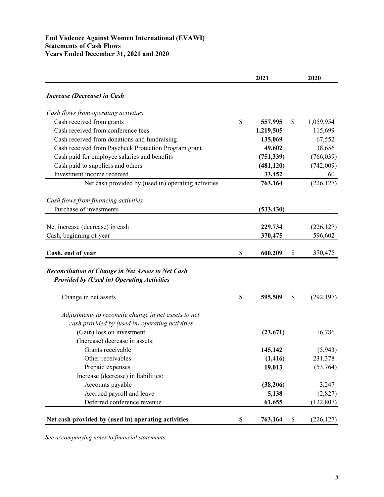## **End Violence Against Women International (EVAWI) Statements of Cash Flows Years Ended December 31, 2021 and 2020**

|                                                                                                                | 2021          | 2020             |
|----------------------------------------------------------------------------------------------------------------|---------------|------------------|
| <b>Increase (Decrease) in Cash</b>                                                                             |               |                  |
| Cash flows from operating activities                                                                           |               |                  |
| Cash received from grants                                                                                      | \$<br>557,995 | \$<br>1,059,954  |
| Cash received from conference fees                                                                             | 1,219,505     | 115,699          |
| Cash received from donations and fundraising                                                                   | 135,069       | 67,552           |
| Cash received from Paycheck Protection Program grant                                                           | 49,602        | 38,656           |
| Cash paid for employee salaries and benefits                                                                   | (751, 339)    | (766, 039)       |
| Cash paid to suppliers and others                                                                              | (481, 120)    | (742,009)        |
| Investment income received                                                                                     | 33,452        | 60               |
| Net cash provided by (used in) operating activities                                                            | 763,164       | (226, 127)       |
| Cash flows from financing activities                                                                           |               |                  |
| Purchase of investments                                                                                        | (533, 430)    |                  |
| Net increase (decrease) in cash                                                                                | 229,734       | (226, 127)       |
| Cash, beginning of year                                                                                        | 370,475       | 596,602          |
|                                                                                                                |               |                  |
| Cash, end of year                                                                                              | \$<br>600,209 | \$<br>370,475    |
| <b>Reconciliation of Change in Net Assets to Net Cash</b><br><b>Provided by (Used in) Operating Activities</b> |               |                  |
| Change in net assets                                                                                           | \$<br>595,509 | \$<br>(292, 197) |
| Adjustments to reconcile change in net assets to net                                                           |               |                  |
| cash provided by (used in) operating activities                                                                |               |                  |
| (Gain) loss on investment                                                                                      | (23, 671)     | 16,786           |
| (Increase) decrease in assets:                                                                                 |               |                  |
| Grants receivable                                                                                              | 145,142       | (5,943)          |
| Other receivables                                                                                              | (1, 416)      | 231,378          |
| Prepaid expenses                                                                                               | 19,013        | (53,764)         |
| Increase (decrease) in liabilities:                                                                            |               |                  |
| Accounts payable                                                                                               | (38, 206)     | 3,247            |
| Accrued payroll and leave                                                                                      | 5,138         | (2,827)          |
| Deferred conference revenue                                                                                    | 61,655        | (122, 807)       |
| Net cash provided by (used in) operating activities                                                            | \$<br>763,164 | \$<br>(226, 127) |

*See accompanying notes to financial statements.*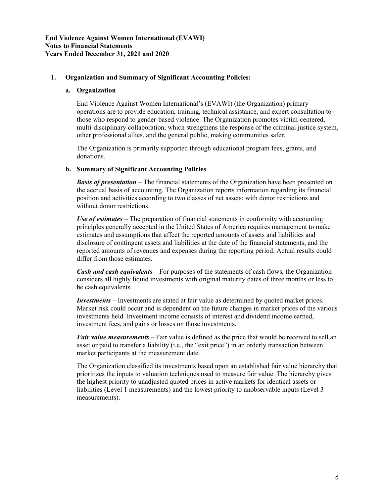## **1. Organization and Summary of Significant Accounting Policies:**

#### **a. Organization**

End Violence Against Women International's (EVAWI) (the Organization) primary operations are to provide education, training, technical assistance, and expert consultation to those who respond to gender-based violence. The Organization promotes victim-centered, multi-disciplinary collaboration, which strengthens the response of the criminal justice system, other professional allies, and the general public, making communities safer.

The Organization is primarily supported through educational program fees, grants, and donations.

#### **b. Summary of Significant Accounting Policies**

*Basis of presentation* – The financial statements of the Organization have been presented on the accrual basis of accounting. The Organization reports information regarding its financial position and activities according to two classes of net assets: with donor restrictions and without donor restrictions.

*Use of estimates –* The preparation of financial statements in conformity with accounting principles generally accepted in the United States of America requires management to make estimates and assumptions that affect the reported amounts of assets and liabilities and disclosure of contingent assets and liabilities at the date of the financial statements, and the reported amounts of revenues and expenses during the reporting period. Actual results could differ from those estimates.

*Cash and cash equivalents –* For purposes of the statements of cash flows, the Organization considers all highly liquid investments with original maturity dates of three months or less to be cash equivalents.

*Investments –* Investments are stated at fair value as determined by quoted market prices. Market risk could occur and is dependent on the future changes in market prices of the various investments held. Investment income consists of interest and dividend income earned, investment fees, and gains or losses on those investments.

*Fair value measurements –* Fair value is defined as the price that would be received to sell an asset or paid to transfer a liability (i.e., the "exit price") in an orderly transaction between market participants at the measurement date.

The Organization classified its investments based upon an established fair value hierarchy that prioritizes the inputs to valuation techniques used to measure fair value. The hierarchy gives the highest priority to unadjusted quoted prices in active markets for identical assets or liabilities (Level 1 measurements) and the lowest priority to unobservable inputs (Level 3 measurements).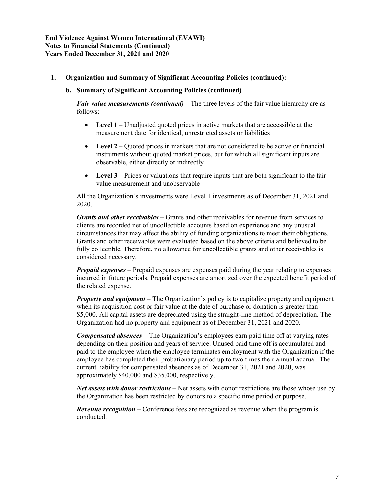## **1. Organization and Summary of Significant Accounting Policies (continued):**

#### **b. Summary of Significant Accounting Policies (continued)**

*Fair value measurements (continued) –* The three levels of the fair value hierarchy are as follows:

- **Level 1** *–* Unadjusted quoted prices in active markets that are accessible at the measurement date for identical, unrestricted assets or liabilities
- Level 2 Quoted prices in markets that are not considered to be active or financial instruments without quoted market prices, but for which all significant inputs are observable, either directly or indirectly
- Level 3 Prices or valuations that require inputs that are both significant to the fair value measurement and unobservable

All the Organization's investments were Level 1 investments as of December 31, 2021 and 2020.

*Grants and other receivables* – Grants and other receivables for revenue from services to clients are recorded net of uncollectible accounts based on experience and any unusual circumstances that may affect the ability of funding organizations to meet their obligations. Grants and other receivables were evaluated based on the above criteria and believed to be fully collectible. Therefore, no allowance for uncollectible grants and other receivables is considered necessary.

*Prepaid expenses –* Prepaid expenses are expenses paid during the year relating to expenses incurred in future periods. Prepaid expenses are amortized over the expected benefit period of the related expense.

*Property and equipment –* The Organization's policy is to capitalize property and equipment when its acquisition cost or fair value at the date of purchase or donation is greater than \$5,000. All capital assets are depreciated using the straight-line method of depreciation. The Organization had no property and equipment as of December 31, 2021 and 2020.

*Compensated absences –* The Organization's employees earn paid time off at varying rates depending on their position and years of service. Unused paid time off is accumulated and paid to the employee when the employee terminates employment with the Organization if the employee has completed their probationary period up to two times their annual accrual. The current liability for compensated absences as of December 31, 2021 and 2020, was approximately \$40,000 and \$35,000, respectively.

*Net assets with donor restrictions –* Net assets with donor restrictions are those whose use by the Organization has been restricted by donors to a specific time period or purpose.

*Revenue recognition –* Conference fees are recognized as revenue when the program is conducted.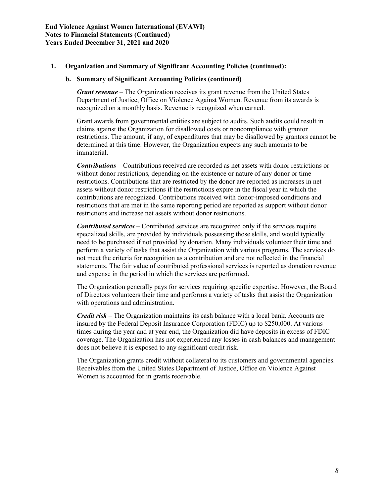#### **1. Organization and Summary of Significant Accounting Policies (continued):**

#### **b. Summary of Significant Accounting Policies (continued)**

*Grant revenue* – The Organization receives its grant revenue from the United States Department of Justice, Office on Violence Against Women. Revenue from its awards is recognized on a monthly basis. Revenue is recognized when earned.

Grant awards from governmental entities are subject to audits. Such audits could result in claims against the Organization for disallowed costs or noncompliance with grantor restrictions. The amount, if any, of expenditures that may be disallowed by grantors cannot be determined at this time. However, the Organization expects any such amounts to be immaterial.

*Contributions* – Contributions received are recorded as net assets with donor restrictions or without donor restrictions, depending on the existence or nature of any donor or time restrictions. Contributions that are restricted by the donor are reported as increases in net assets without donor restrictions if the restrictions expire in the fiscal year in which the contributions are recognized. Contributions received with donor-imposed conditions and restrictions that are met in the same reporting period are reported as support without donor restrictions and increase net assets without donor restrictions.

*Contributed services* – Contributed services are recognized only if the services require specialized skills, are provided by individuals possessing those skills, and would typically need to be purchased if not provided by donation. Many individuals volunteer their time and perform a variety of tasks that assist the Organization with various programs. The services do not meet the criteria for recognition as a contribution and are not reflected in the financial statements. The fair value of contributed professional services is reported as donation revenue and expense in the period in which the services are performed.

The Organization generally pays for services requiring specific expertise. However, the Board of Directors volunteers their time and performs a variety of tasks that assist the Organization with operations and administration.

*Credit risk* – The Organization maintains its cash balance with a local bank. Accounts are insured by the Federal Deposit Insurance Corporation (FDIC) up to \$250,000. At various times during the year and at year end, the Organization did have deposits in excess of FDIC coverage. The Organization has not experienced any losses in cash balances and management does not believe it is exposed to any significant credit risk.

The Organization grants credit without collateral to its customers and governmental agencies. Receivables from the United States Department of Justice, Office on Violence Against Women is accounted for in grants receivable.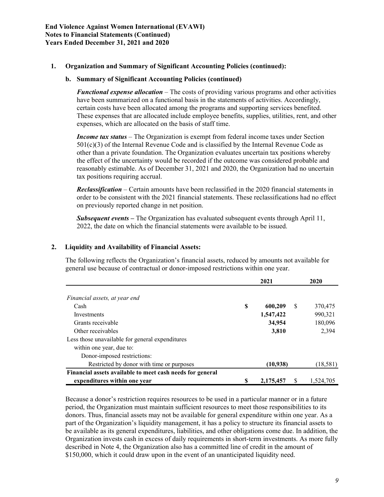#### **1. Organization and Summary of Significant Accounting Policies (continued):**

#### **b. Summary of Significant Accounting Policies (continued)**

*Functional expense allocation* – The costs of providing various programs and other activities have been summarized on a functional basis in the statements of activities. Accordingly, certain costs have been allocated among the programs and supporting services benefited. These expenses that are allocated include employee benefits, supplies, utilities, rent, and other expenses, which are allocated on the basis of staff time.

*Income tax status* – The Organization is exempt from federal income taxes under Section  $501(c)(3)$  of the Internal Revenue Code and is classified by the Internal Revenue Code as other than a private foundation. The Organization evaluates uncertain tax positions whereby the effect of the uncertainty would be recorded if the outcome was considered probable and reasonably estimable. As of December 31, 2021 and 2020, the Organization had no uncertain tax positions requiring accrual.

*Reclassification* – Certain amounts have been reclassified in the 2020 financial statements in order to be consistent with the 2021 financial statements. These reclassifications had no effect on previously reported change in net position.

*Subsequent events* – The Organization has evaluated subsequent events through April 11, 2022, the date on which the financial statements were available to be issued.

#### **2. Liquidity and Availability of Financial Assets:**

The following reflects the Organization's financial assets, reduced by amounts not available for general use because of contractual or donor-imposed restrictions within one year.

|                                                           |    | 2021      |   | 2020      |  |  |
|-----------------------------------------------------------|----|-----------|---|-----------|--|--|
| Financial assets, at year end                             |    |           |   |           |  |  |
| Cash                                                      | \$ | 600,209   | S | 370,475   |  |  |
| Investments                                               |    | 1,547,422 |   | 990,321   |  |  |
| Grants receivable                                         |    | 34,954    |   | 180,096   |  |  |
| Other receivables                                         |    | 3,810     |   | 2,394     |  |  |
| Less those unavailable for general expenditures           |    |           |   |           |  |  |
| within one year, due to:                                  |    |           |   |           |  |  |
| Donor-imposed restrictions:                               |    |           |   |           |  |  |
| Restricted by donor with time or purposes                 |    | (10,938)  |   | (18, 581) |  |  |
| Financial assets available to meet cash needs for general |    |           |   |           |  |  |
| expenditures within one year                              | S  | 2,175,457 |   | 1.524.705 |  |  |

Because a donor's restriction requires resources to be used in a particular manner or in a future period, the Organization must maintain sufficient resources to meet those responsibilities to its donors. Thus, financial assets may not be available for general expenditure within one year. As a part of the Organization's liquidity management, it has a policy to structure its financial assets to be available as its general expenditures, liabilities, and other obligations come due. In addition, the Organization invests cash in excess of daily requirements in short-term investments. As more fully described in Note 4, the Organization also has a committed line of credit in the amount of \$150,000, which it could draw upon in the event of an unanticipated liquidity need.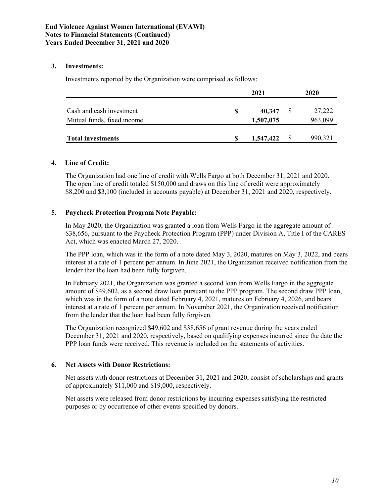## **3. Investments:**

Investments reported by the Organization were comprised as follows:

|                                                        |  |                     | 2020         |                   |
|--------------------------------------------------------|--|---------------------|--------------|-------------------|
| Cash and cash investment<br>Mutual funds, fixed income |  | 40,347<br>1,507,075 | <sup>8</sup> | 27,222<br>963,099 |
| <b>Total investments</b>                               |  | 1,547,422           |              | 990,321           |

#### **4. Line of Credit:**

The Organization had one line of credit with Wells Fargo at both December 31, 2021 and 2020. The open line of credit totaled \$150,000 and draws on this line of credit were approximately \$8,200 and \$3,100 (included in accounts payable) at December 31, 2021 and 2020, respectively.

## **5. Paycheck Protection Program Note Payable:**

In May 2020, the Organization was granted a loan from Wells Fargo in the aggregate amount of \$38,656, pursuant to the Paycheck Protection Program (PPP) under Division A, Title I of the CARES Act, which was enacted March 27, 2020.

The PPP loan, which was in the form of a note dated May 3, 2020, matures on May 3, 2022, and bears interest at a rate of 1 percent per annum. In June 2021, the Organization received notification from the lender that the loan had been fully forgiven.

In February 2021, the Organization was granted a second loan from Wells Fargo in the aggregate amount of \$49,602, as a second draw loan pursuant to the PPP program. The second draw PPP loan, which was in the form of a note dated February 4, 2021, matures on February 4, 2026, and bears interest at a rate of 1 percent per annum. In November 2021, the Organization received notification from the lender that the loan had been fully forgiven.

The Organization recognized \$49,602 and \$38,656 of grant revenue during the years ended December 31, 2021 and 2020, respectively, based on qualifying expenses incurred since the date the PPP loan funds were received. This revenue is included on the statements of activities.

#### **6. Net Assets with Donor Restrictions:**

Net assets with donor restrictions at December 31, 2021 and 2020, consist of scholarships and grants of approximately \$11,000 and \$19,000, respectively.

Net assets were released from donor restrictions by incurring expenses satisfying the restricted purposes or by occurrence of other events specified by donors.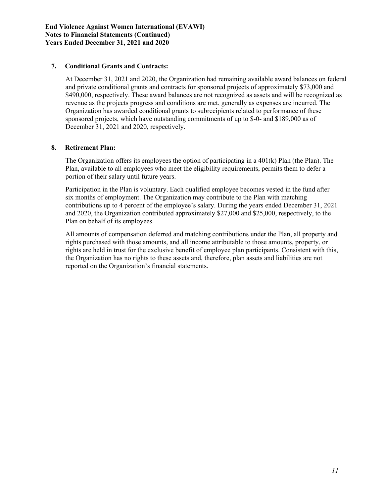## **7. Conditional Grants and Contracts:**

At December 31, 2021 and 2020, the Organization had remaining available award balances on federal and private conditional grants and contracts for sponsored projects of approximately \$73,000 and \$490,000, respectively. These award balances are not recognized as assets and will be recognized as revenue as the projects progress and conditions are met, generally as expenses are incurred. The Organization has awarded conditional grants to subrecipients related to performance of these sponsored projects, which have outstanding commitments of up to \$-0- and \$189,000 as of December 31, 2021 and 2020, respectively.

## **8. Retirement Plan:**

The Organization offers its employees the option of participating in a  $401(k)$  Plan (the Plan). The Plan, available to all employees who meet the eligibility requirements, permits them to defer a portion of their salary until future years.

Participation in the Plan is voluntary. Each qualified employee becomes vested in the fund after six months of employment. The Organization may contribute to the Plan with matching contributions up to 4 percent of the employee's salary. During the years ended December 31, 2021 and 2020, the Organization contributed approximately \$27,000 and \$25,000, respectively, to the Plan on behalf of its employees.

All amounts of compensation deferred and matching contributions under the Plan, all property and rights purchased with those amounts, and all income attributable to those amounts, property, or rights are held in trust for the exclusive benefit of employee plan participants. Consistent with this, the Organization has no rights to these assets and, therefore, plan assets and liabilities are not reported on the Organization's financial statements.